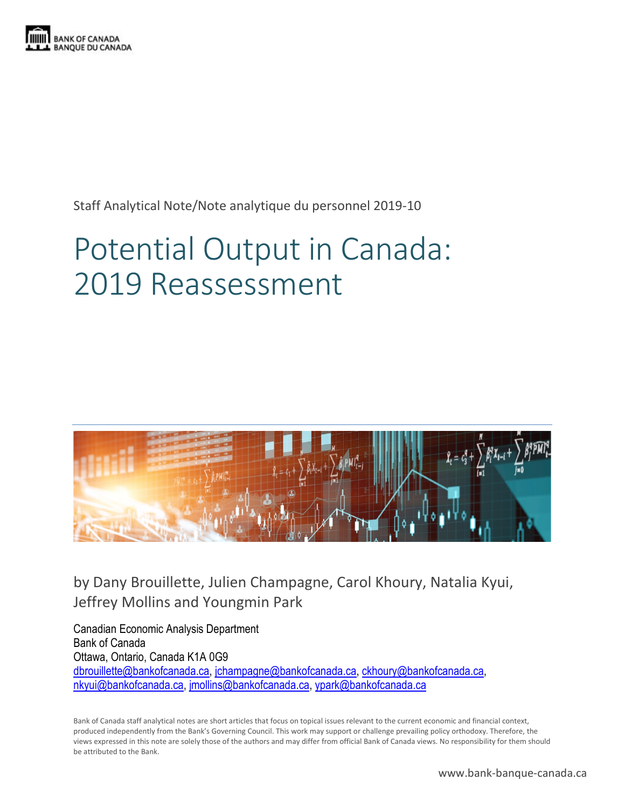

Staff Analytical Note/Note analytique du personnel 2019-10

# Potential Output in Canada: 2019 Reassessment



by Dany Brouillette, Julien Champagne, Carol Khoury, Natalia Kyui, Jeffrey Mollins and Youngmin Park

Canadian Economic Analysis Department Bank of Canada Ottawa, Ontario, Canada K1A 0G9 [dbrouillette@bankofcanada.ca,](mailto:dbrouillette@bankofcanada.ca) [jchampagne@bankofcanada.ca,](mailto:jchampagne@bankofcanada.ca) [ckhoury@bankofcanada.ca,](mailto:ckhoury@bankofcanada.ca) [nkyui@bankofcanada.ca,](mailto:nkyui@bankofcanada.ca) [jmollins@bankofcanada.ca,](mailto:jmollins@bankofcanada.ca) [ypark@bankofcanada.ca](mailto:ypark@bankofcanada.ca) 

Bank of Canada staff analytical notes are short articles that focus on topical issues relevant to the current economic and financial context, produced independently from the Bank's Governing Council. This work may support or challenge prevailing policy orthodoxy. Therefore, the views expressed in this note are solely those of the authors and may differ from official Bank of Canada views. No responsibility for them should be attributed to the Bank.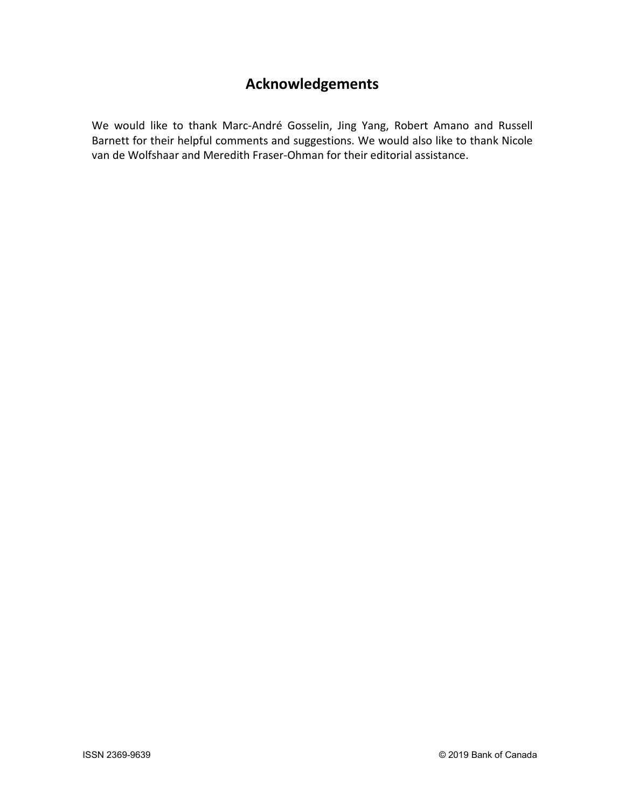## **Acknowledgements**

We would like to thank Marc-André Gosselin, Jing Yang, Robert Amano and Russell Barnett for their helpful comments and suggestions. We would also like to thank Nicole van de Wolfshaar and Meredith Fraser-Ohman for their editorial assistance.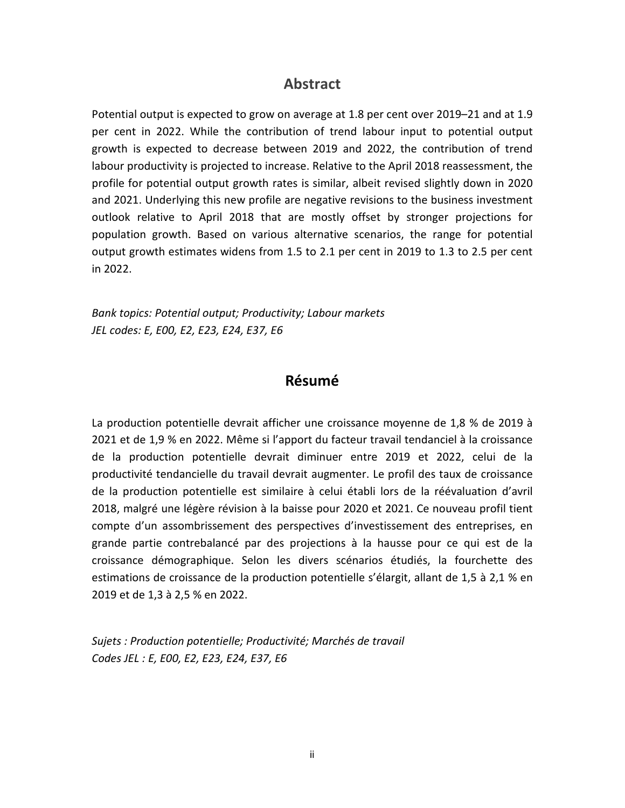### **Abstract**

Potential output is expected to grow on average at 1.8 per cent over 2019–21 and at 1.9 per cent in 2022. While the contribution of trend labour input to potential output growth is expected to decrease between 2019 and 2022, the contribution of trend labour productivity is projected to increase. Relative to the April 2018 reassessment, the profile for potential output growth rates is similar, albeit revised slightly down in 2020 and 2021. Underlying this new profile are negative revisions to the business investment outlook relative to April 2018 that are mostly offset by stronger projections for population growth. Based on various alternative scenarios, the range for potential output growth estimates widens from 1.5 to 2.1 per cent in 2019 to 1.3 to 2.5 per cent in 2022.

*Bank topics: Potential output; Productivity; Labour markets JEL codes: E, E00, E2, E23, E24, E37, E6*

### **Résumé**

La production potentielle devrait afficher une croissance moyenne de 1,8 % de 2019 à 2021 et de 1,9 % en 2022. Même si l'apport du facteur travail tendanciel à la croissance de la production potentielle devrait diminuer entre 2019 et 2022, celui de la productivité tendancielle du travail devrait augmenter. Le profil des taux de croissance de la production potentielle est similaire à celui établi lors de la réévaluation d'avril 2018, malgré une légère révision à la baisse pour 2020 et 2021. Ce nouveau profil tient compte d'un assombrissement des perspectives d'investissement des entreprises, en grande partie contrebalancé par des projections à la hausse pour ce qui est de la croissance démographique. Selon les divers scénarios étudiés, la fourchette des estimations de croissance de la production potentielle s'élargit, allant de 1,5 à 2,1 % en 2019 et de 1,3 à 2,5 % en 2022.

*Sujets : Production potentielle; Productivité; Marchés de travail Codes JEL : E, E00, E2, E23, E24, E37, E6*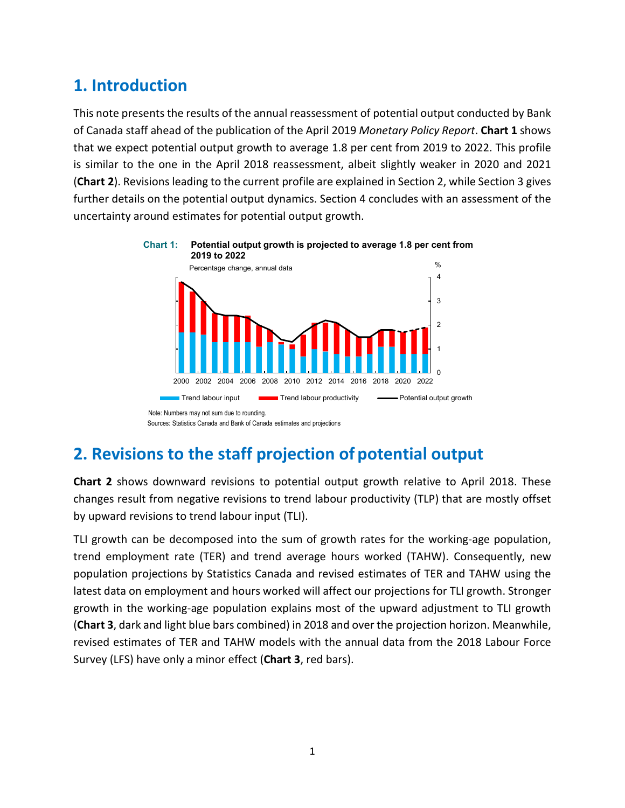## **1. Introduction**

This note presents the results of the annual reassessment of potential output conducted by Bank of Canada staff ahead of the publication of the April 2019 *Monetary Policy Report*. **Chart 1** shows that we expect potential output growth to average 1.8 per cent from 2019 to 2022. This profile is similar to the one in the April 2018 reassessment, albeit slightly weaker in 2020 and 2021 (**Chart 2**). Revisions leading to the current profile are explained in Section 2, while Section 3 gives further details on the potential output dynamics. Section 4 concludes with an assessment of the uncertainty around estimates for potential output growth.



### **Chart 1: Potential output growth is projected to average 1.8 per cent from**

Sources: Statistics Canada and Bank of Canada estimates and projections

**Chart 2** shows downward revisions to potential output growth relative to April 2018. These changes result from negative revisions to trend labour productivity (TLP) that are mostly offset by upward revisions to trend labour input (TLI).

TLI growth can be decomposed into the sum of growth rates for the working-age population, trend employment rate (TER) and trend average hours worked (TAHW). Consequently, new population projections by Statistics Canada and revised estimates of TER and TAHW using the latest data on employment and hours worked will affect our projections for TLI growth. Stronger growth in the working-age population explains most of the upward adjustment to TLI growth (**Chart 3**, dark and light blue bars combined) in 2018 and over the projection horizon. Meanwhile, revised estimates of TER and TAHW models with the annual data from the 2018 Labour Force Survey (LFS) have only a minor effect (**Chart 3**, red bars).

**<sup>2.</sup> Revisions to the staff projection of potential output**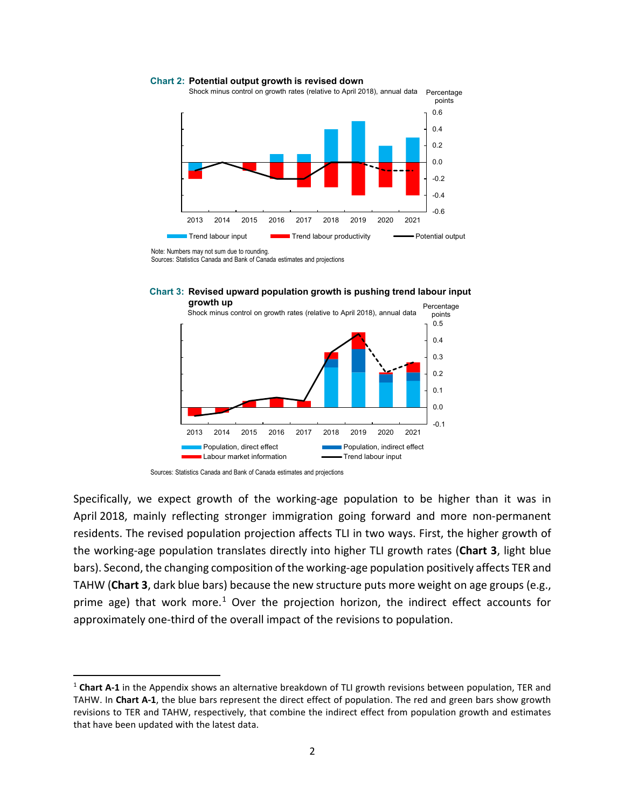Percentage Shock minus control on growth rates (relative to April 2018), annual data

**Chart 2: Potential output growth is revised down**



0.6

points

Sources: Statistics Canada and Bank of Canada estimates and projections





Specifically, we expect growth of the working-age population to be higher than it was in April 2018, mainly reflecting stronger immigration going forward and more non-permanent residents. The revised population projection affects TLI in two ways. First, the higher growth of the working-age population translates directly into higher TLI growth rates (**Chart 3**, light blue bars). Second, the changing composition of the working-age population positively affects TER and TAHW (**Chart 3**, dark blue bars) because the new structure puts more weight on age groups (e.g., prime age) that work more.<sup>[1](#page-4-0)</sup> Over the projection horizon, the indirect effect accounts for approximately one-third of the overall impact of the revisions to population.

Note: Numbers may not sum due to rounding.

Sources: Statistics Canada and Bank of Canada estimates and projections

<span id="page-4-0"></span> <sup>1</sup> **Chart A-1** in the Appendix shows an alternative breakdown of TLI growth revisions between population, TER and TAHW. In **Chart A-1**, the blue bars represent the direct effect of population. The red and green bars show growth revisions to TER and TAHW, respectively, that combine the indirect effect from population growth and estimates that have been updated with the latest data.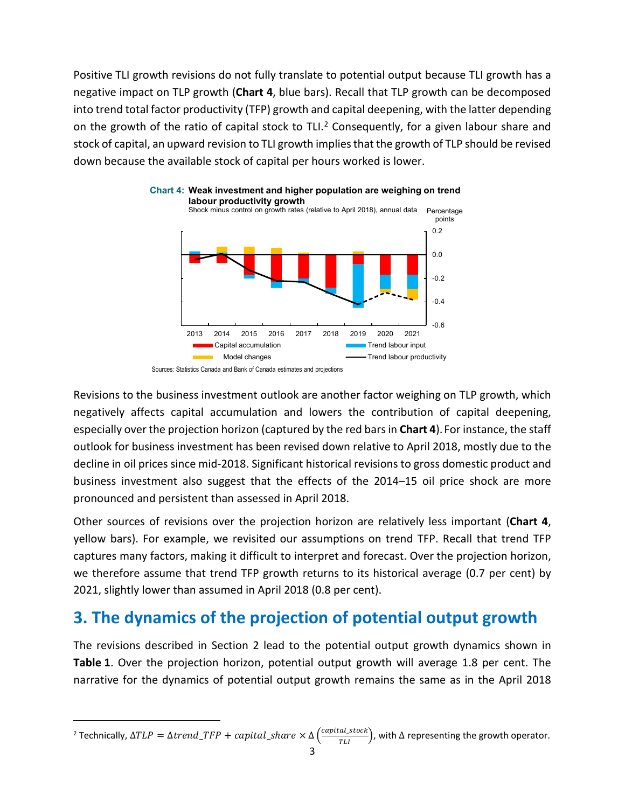Positive TLI growth revisions do not fully translate to potential output because TLI growth has a negative impact on TLP growth (**Chart 4**, blue bars). Recall that TLP growth can be decomposed into trend total factor productivity (TFP) growth and capital deepening, with the latter depending on the growth of the ratio of capital stock to TLI.<sup>[2](#page-5-0)</sup> Consequently, for a given labour share and stock of capital, an upward revision to TLI growth implies that the growth of TLP should be revised down because the available stock of capital per hours worked is lower.





Revisions to the business investment outlook are another factor weighing on TLP growth, which negatively affects capital accumulation and lowers the contribution of capital deepening, especially over the projection horizon (captured by the red bars in **Chart 4**). For instance, the staff outlook for business investment has been revised down relative to April 2018, mostly due to the decline in oil prices since mid-2018. Significant historical revisions to gross domestic product and business investment also suggest that the effects of the 2014–15 oil price shock are more pronounced and persistent than assessed in April 2018.

Other sources of revisions over the projection horizon are relatively less important (**Chart 4**, yellow bars). For example, we revisited our assumptions on trend TFP. Recall that trend TFP captures many factors, making it difficult to interpret and forecast. Over the projection horizon, we therefore assume that trend TFP growth returns to its historical average (0.7 per cent) by 2021, slightly lower than assumed in April 2018 (0.8 per cent).

## **3. The dynamics of the projection of potential output growth**

The revisions described in Section 2 lead to the potential output growth dynamics shown in **Table 1**. Over the projection horizon, potential output growth will average 1.8 per cent. The narrative for the dynamics of potential output growth remains the same as in the April 2018

Sources: Statistics Canada and Bank of Canada estimates and projections

<span id="page-5-0"></span><sup>&</sup>lt;sup>2</sup> Technically,  $\Delta TLP = \Delta trend\_TFP + capital\_share \times \Delta\left(\frac{capital\_stock}{TLI}\right)$ , with  $\Delta$  representing the growth operator.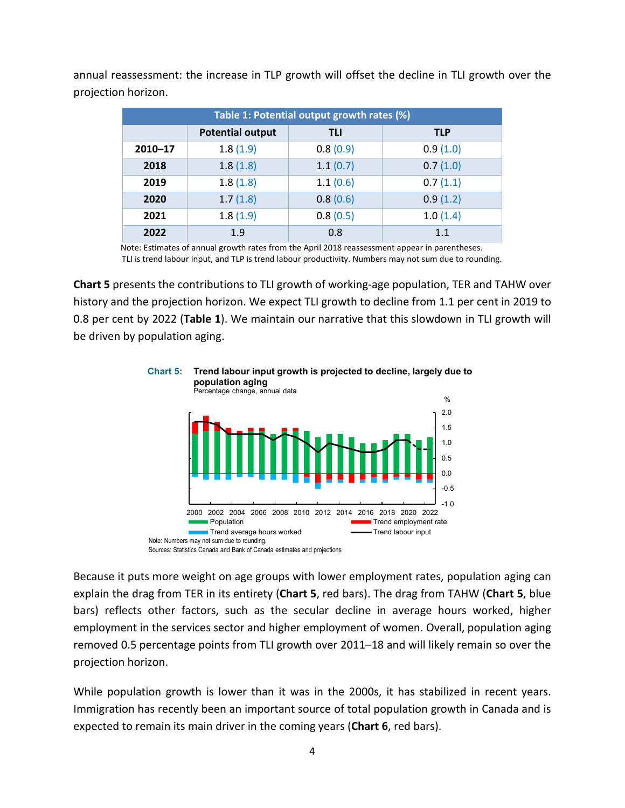| Table 1: Potential output growth rates (%) |                         |            |            |  |  |  |  |  |
|--------------------------------------------|-------------------------|------------|------------|--|--|--|--|--|
|                                            | <b>Potential output</b> | <b>TLI</b> | <b>TLP</b> |  |  |  |  |  |
| $2010 - 17$                                | 1.8(1.9)                | 0.8(0.9)   | 0.9(1.0)   |  |  |  |  |  |
| 2018                                       | 1.8(1.8)                | 1.1(0.7)   | 0.7(1.0)   |  |  |  |  |  |
| 2019                                       | 1.8(1.8)                | 1.1(0.6)   | 0.7(1.1)   |  |  |  |  |  |
| 2020                                       | 1.7(1.8)                | 0.8(0.6)   | 0.9(1.2)   |  |  |  |  |  |
| 2021                                       | 1.8(1.9)                | 0.8(0.5)   | 1.0(1.4)   |  |  |  |  |  |
| 2022                                       | 1.9                     | 0.8        | 1.1        |  |  |  |  |  |

annual reassessment: the increase in TLP growth will offset the decline in TLI growth over the projection horizon.

Note: Estimates of annual growth rates from the April 2018 reassessment appear in parentheses.

TLI is trend labour input, and TLP is trend labour productivity. Numbers may not sum due to rounding.

**Chart 5** presents the contributions to TLI growth of working-age population, TER and TAHW over history and the projection horizon. We expect TLI growth to decline from 1.1 per cent in 2019 to 0.8 per cent by 2022 (**Table 1**). We maintain our narrative that this slowdown in TLI growth will be driven by population aging.



## **Chart 5: Trend labour input growth is projected to decline, largely due to**

Because it puts more weight on age groups with lower employment rates, population aging can explain the drag from TER in its entirety (**Chart 5**, red bars). The drag from TAHW (**Chart 5**, blue bars) reflects other factors, such as the secular decline in average hours worked, higher employment in the services sector and higher employment of women. Overall, population aging removed 0.5 percentage points from TLI growth over 2011–18 and will likely remain so over the projection horizon.

While population growth is lower than it was in the 2000s, it has stabilized in recent years. Immigration has recently been an important source of total population growth in Canada and is expected to remain its main driver in the coming years (**Chart 6**, red bars).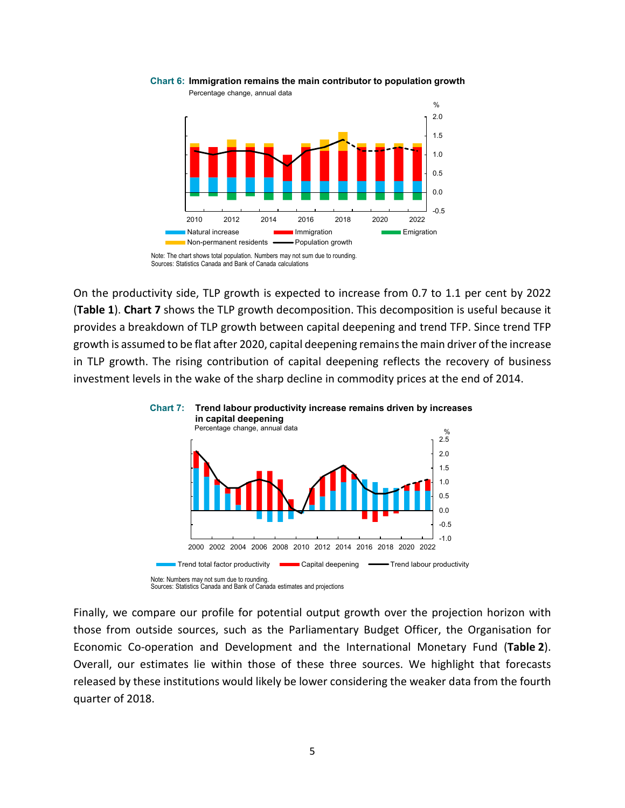

**Chart 6: Immigration remains the main contributor to population growth**

On the productivity side, TLP growth is expected to increase from 0.7 to 1.1 per cent by 2022 (**Table 1**). **Chart 7** shows the TLP growth decomposition. This decomposition is useful because it provides a breakdown of TLP growth between capital deepening and trend TFP. Since trend TFP growth is assumed to be flat after 2020, capital deepening remains the main driver of the increase in TLP growth. The rising contribution of capital deepening reflects the recovery of business investment levels in the wake of the sharp decline in commodity prices at the end of 2014.





Finally, we compare our profile for potential output growth over the projection horizon with those from outside sources, such as the Parliamentary Budget Officer, the Organisation for Economic Co-operation and Development and the International Monetary Fund (**Table 2**). Overall, our estimates lie within those of these three sources. We highlight that forecasts released by these institutions would likely be lower considering the weaker data from the fourth quarter of 2018.

Sources: Statistics Canada and Bank of Canada calculations Note: The chart shows total population. Numbers may not sum due to rounding.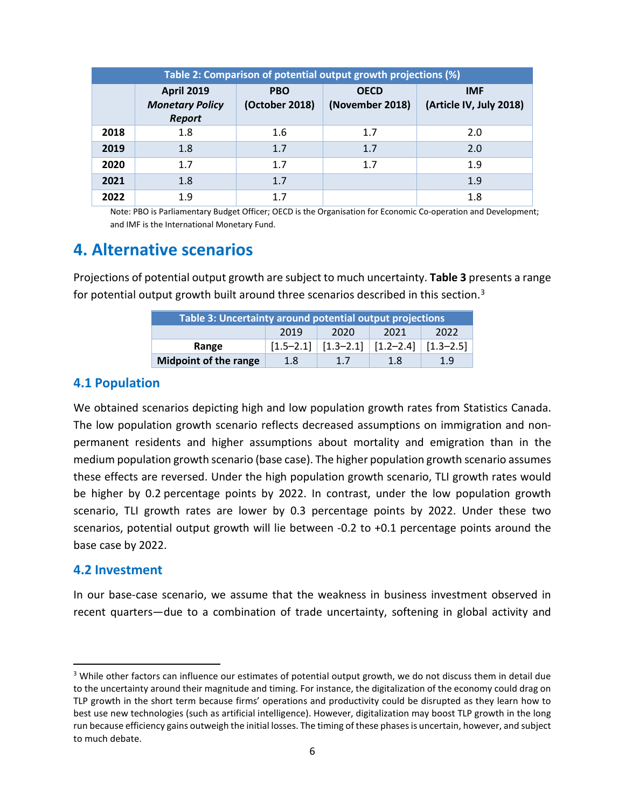| Table 2: Comparison of potential output growth projections (%) |                                                              |                              |                                |                                       |  |  |  |  |  |
|----------------------------------------------------------------|--------------------------------------------------------------|------------------------------|--------------------------------|---------------------------------------|--|--|--|--|--|
|                                                                | <b>April 2019</b><br><b>Monetary Policy</b><br><b>Report</b> | <b>PBO</b><br>(October 2018) | <b>OECD</b><br>(November 2018) | <b>IMF</b><br>(Article IV, July 2018) |  |  |  |  |  |
| 2018                                                           | 1.8                                                          | 1.6                          | 1.7                            | 2.0                                   |  |  |  |  |  |
| 2019                                                           | 1.8                                                          | 1.7                          | 1.7                            | 2.0                                   |  |  |  |  |  |
| 2020                                                           | 1.7                                                          | 1.7                          | 1.7                            | 1.9                                   |  |  |  |  |  |
| 2021                                                           | 1.8                                                          | 1.7                          |                                | 1.9                                   |  |  |  |  |  |
| 2022                                                           | 1.9                                                          | 1.7                          |                                | 1.8                                   |  |  |  |  |  |

Note: PBO is Parliamentary Budget Officer; OECD is the Organisation for Economic Co-operation and Development; and IMF is the International Monetary Fund.

### **4. Alternative scenarios**

Projections of potential output growth are subject to much uncertainty. **Table 3** presents a range for potential output growth built around three scenarios described in this section.<sup>[3](#page-8-0)</sup>

| Table 3: Uncertainty around potential output projections |      |                                                                                     |      |               |  |  |  |  |
|----------------------------------------------------------|------|-------------------------------------------------------------------------------------|------|---------------|--|--|--|--|
|                                                          | 2019 | 2020                                                                                | 2021 | 2022          |  |  |  |  |
| Range                                                    |      | $\lceil 1.5 - 2.1 \rceil \mid \lceil 1.3 - 2.1 \rceil \mid \lceil 1.2 - 2.4 \rceil$ |      | $[1.3 - 2.5]$ |  |  |  |  |
| <b>Midpoint of the range</b>                             | 1.8  | 1.7                                                                                 | 1.8  | 1.9           |  |  |  |  |

### **4.1 Population**

We obtained scenarios depicting high and low population growth rates from Statistics Canada. The low population growth scenario reflects decreased assumptions on immigration and nonpermanent residents and higher assumptions about mortality and emigration than in the medium population growth scenario (base case). The higher population growth scenario assumes these effects are reversed. Under the high population growth scenario, TLI growth rates would be higher by 0.2 percentage points by 2022. In contrast, under the low population growth scenario, TLI growth rates are lower by 0.3 percentage points by 2022. Under these two scenarios, potential output growth will lie between -0.2 to +0.1 percentage points around the base case by 2022.

#### **4.2 Investment**

In our base-case scenario, we assume that the weakness in business investment observed in recent quarters—due to a combination of trade uncertainty, softening in global activity and

<span id="page-8-0"></span><sup>&</sup>lt;sup>3</sup> While other factors can influence our estimates of potential output growth, we do not discuss them in detail due to the uncertainty around their magnitude and timing. For instance, the digitalization of the economy could drag on TLP growth in the short term because firms' operations and productivity could be disrupted as they learn how to best use new technologies (such as artificial intelligence). However, digitalization may boost TLP growth in the long run because efficiency gains outweigh the initial losses. The timing of these phases is uncertain, however, and subject to much debate.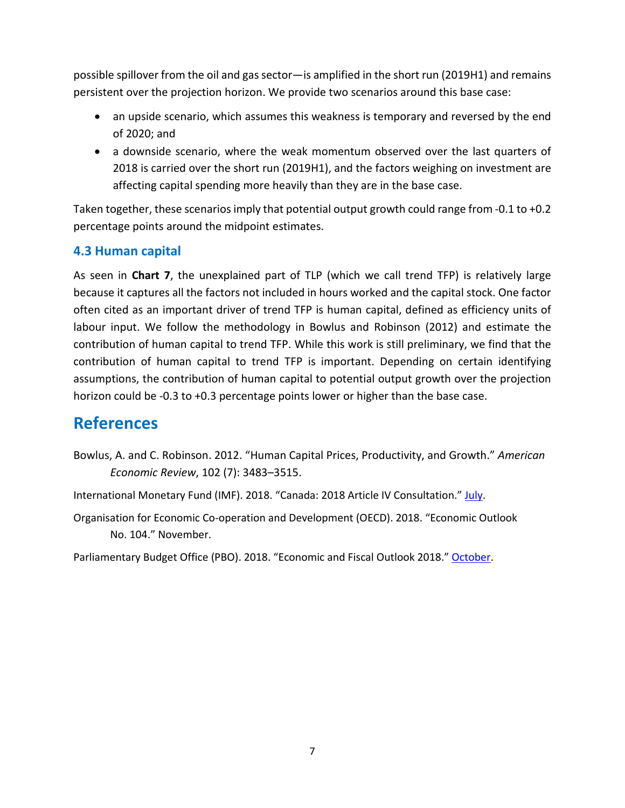possible spillover from the oil and gas sector—is amplified in the short run (2019H1) and remains persistent over the projection horizon. We provide two scenarios around this base case:

- an upside scenario, which assumes this weakness is temporary and reversed by the end of 2020; and
- a downside scenario, where the weak momentum observed over the last quarters of 2018 is carried over the short run (2019H1), and the factors weighing on investment are affecting capital spending more heavily than they are in the base case.

Taken together, these scenarios imply that potential output growth could range from -0.1 to +0.2 percentage points around the midpoint estimates.

### **4.3 Human capital**

As seen in **Chart 7**, the unexplained part of TLP (which we call trend TFP) is relatively large because it captures all the factors not included in hours worked and the capital stock. One factor often cited as an important driver of trend TFP is human capital, defined as efficiency units of labour input. We follow the methodology in Bowlus and Robinson (2012) and estimate the contribution of human capital to trend TFP. While this work is still preliminary, we find that the contribution of human capital to trend TFP is important. Depending on certain identifying assumptions, the contribution of human capital to potential output growth over the projection horizon could be -0.3 to +0.3 percentage points lower or higher than the base case.

## **References**

- Bowlus, A. and C. Robinson. 2012. "Human Capital Prices, Productivity, and Growth." *American Economic Review*, 102 (7): 3483–3515.
- International Monetary Fund (IMF). 2018. "Canada: 2018 Article IV Consultation." [July.](https://www.imf.org/%7E/media/Files/Publications/CR/2018/cr18221.ashx)
- Organisation for Economic Co-operation and Development (OECD). 2018. "Economic Outlook No. 104." November.

Parliamentary Budget Office (PBO). 2018. "Economic and Fiscal Outlook 2018.[" October.](https://www.pbo-dpb.gc.ca/web/default/files/Documents/Reports/2018/EFO%20Oct%202018/EFO_OCT2018_EN.pdf)